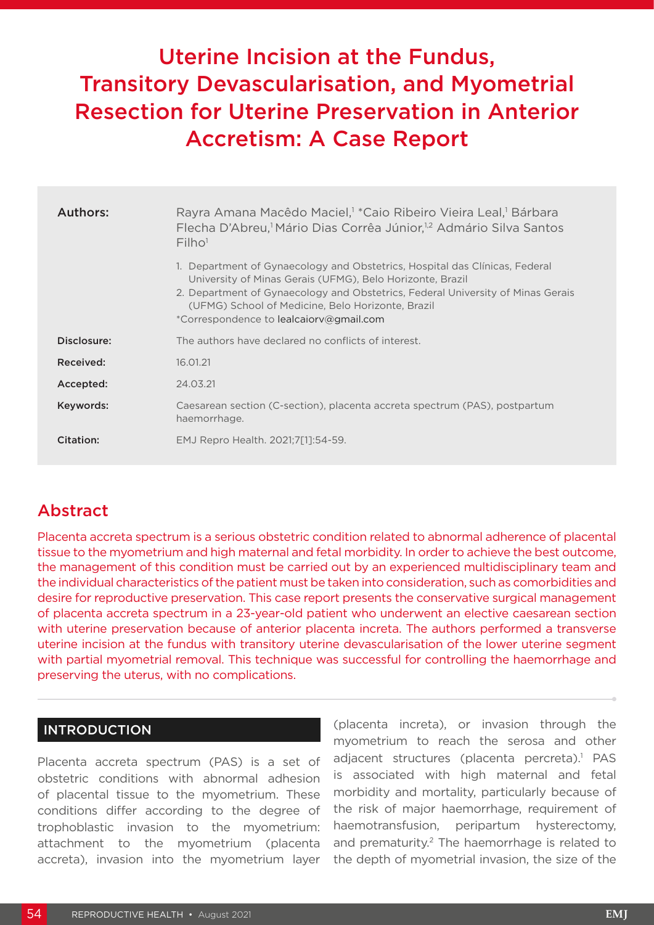# Uterine Incision at the Fundus, Transitory Devascularisation, and Myometrial Resection for Uterine Preservation in Anterior Accretism: A Case Report

| Authors:    | Rayra Amana Macêdo Maciel, <sup>1</sup> *Caio Ribeiro Vieira Leal, <sup>1</sup> Bárbara<br>Flecha D'Abreu, <sup>1</sup> Mário Dias Corrêa Júnior, <sup>1,2</sup> Admário Silva Santos<br>Filho <sup>1</sup>                                                                                                                 |
|-------------|-----------------------------------------------------------------------------------------------------------------------------------------------------------------------------------------------------------------------------------------------------------------------------------------------------------------------------|
|             | 1. Department of Gynaecology and Obstetrics, Hospital das Clínicas, Federal<br>University of Minas Gerais (UFMG), Belo Horizonte, Brazil<br>2. Department of Gynaecology and Obstetrics, Federal University of Minas Gerais<br>(UFMG) School of Medicine, Belo Horizonte, Brazil<br>*Correspondence to lealcaiory@gmail.com |
| Disclosure: | The authors have declared no conflicts of interest.                                                                                                                                                                                                                                                                         |
| Received:   | 16.01.21                                                                                                                                                                                                                                                                                                                    |
| Accepted:   | 24.03.21                                                                                                                                                                                                                                                                                                                    |
| Keywords:   | Caesarean section (C-section), placenta accreta spectrum (PAS), postpartum<br>haemorrhage.                                                                                                                                                                                                                                  |
| Citation:   | EMJ Repro Health. 2021;7[1]:54-59.                                                                                                                                                                                                                                                                                          |

# Abstract

Placenta accreta spectrum is a serious obstetric condition related to abnormal adherence of placental tissue to the myometrium and high maternal and fetal morbidity. In order to achieve the best outcome, the management of this condition must be carried out by an experienced multidisciplinary team and the individual characteristics of the patient must be taken into consideration, such as comorbidities and desire for reproductive preservation. This case report presents the conservative surgical management of placenta accreta spectrum in a 23-year-old patient who underwent an elective caesarean section with uterine preservation because of anterior placenta increta. The authors performed a transverse uterine incision at the fundus with transitory uterine devascularisation of the lower uterine segment with partial myometrial removal. This technique was successful for controlling the haemorrhage and preserving the uterus, with no complications.

# INTRODUCTION

Placenta accreta spectrum (PAS) is a set of obstetric conditions with abnormal adhesion of placental tissue to the myometrium. These conditions differ according to the degree of trophoblastic invasion to the myometrium: attachment to the myometrium (placenta accreta), invasion into the myometrium layer (placenta increta), or invasion through the myometrium to reach the serosa and other adjacent structures (placenta percreta).<sup>1</sup> PAS is associated with high maternal and fetal morbidity and mortality, particularly because of the risk of major haemorrhage, requirement of haemotransfusion, peripartum hysterectomy, and prematurity.<sup>2</sup> The haemorrhage is related to the depth of myometrial invasion, the size of the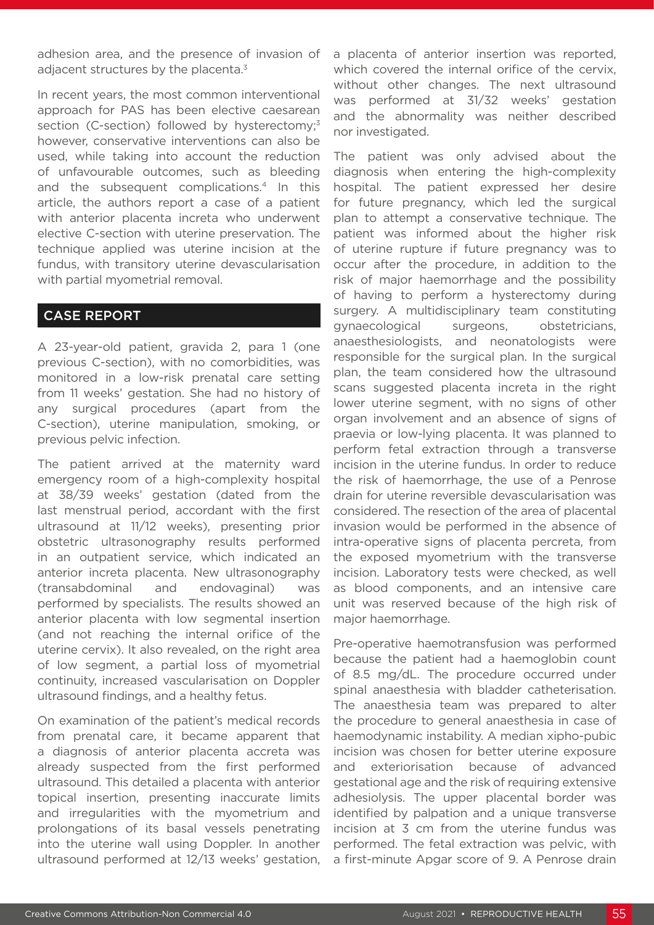adhesion area, and the presence of invasion of adjacent structures by the placenta. $3$ 

In recent years, the most common interventional approach for PAS has been elective caesarean section (C-section) followed by hysterectomy;<sup>3</sup> however, conservative interventions can also be used, while taking into account the reduction of unfavourable outcomes, such as bleeding and the subsequent complications.<sup>4</sup> In this article, the authors report a case of a patient with anterior placenta increta who underwent elective C-section with uterine preservation. The technique applied was uterine incision at the fundus, with transitory uterine devascularisation with partial myometrial removal.

# CASE REPORT

A 23-year-old patient, gravida 2, para 1 (one previous C-section), with no comorbidities, was monitored in a low-risk prenatal care setting from 11 weeks' gestation. She had no history of any surgical procedures (apart from the C-section), uterine manipulation, smoking, or previous pelvic infection.

The patient arrived at the maternity ward emergency room of a high-complexity hospital at 38/39 weeks' gestation (dated from the last menstrual period, accordant with the first ultrasound at 11/12 weeks), presenting prior obstetric ultrasonography results performed in an outpatient service, which indicated an anterior increta placenta. New ultrasonography (transabdominal and endovaginal) was performed by specialists. The results showed an anterior placenta with low segmental insertion (and not reaching the internal orifice of the uterine cervix). It also revealed, on the right area of low segment, a partial loss of myometrial continuity, increased vascularisation on Doppler ultrasound findings, and a healthy fetus.

On examination of the patient's medical records from prenatal care, it became apparent that a diagnosis of anterior placenta accreta was already suspected from the first performed ultrasound. This detailed a placenta with anterior topical insertion, presenting inaccurate limits and irregularities with the myometrium and prolongations of its basal vessels penetrating into the uterine wall using Doppler. In another ultrasound performed at 12/13 weeks' gestation, a placenta of anterior insertion was reported, which covered the internal orifice of the cervix. without other changes. The next ultrasound was performed at 31/32 weeks' gestation and the abnormality was neither described nor investigated.

The patient was only advised about the diagnosis when entering the high-complexity hospital. The patient expressed her desire for future pregnancy, which led the surgical plan to attempt a conservative technique. The patient was informed about the higher risk of uterine rupture if future pregnancy was to occur after the procedure, in addition to the risk of major haemorrhage and the possibility of having to perform a hysterectomy during surgery. A multidisciplinary team constituting gynaecological surgeons, obstetricians, anaesthesiologists, and neonatologists were responsible for the surgical plan. In the surgical plan, the team considered how the ultrasound scans suggested placenta increta in the right lower uterine segment, with no signs of other organ involvement and an absence of signs of praevia or low-lying placenta. It was planned to perform fetal extraction through a transverse incision in the uterine fundus. In order to reduce the risk of haemorrhage, the use of a Penrose drain for uterine reversible devascularisation was considered. The resection of the area of placental invasion would be performed in the absence of intra-operative signs of placenta percreta, from the exposed myometrium with the transverse incision. Laboratory tests were checked, as well as blood components, and an intensive care unit was reserved because of the high risk of major haemorrhage.

Pre-operative haemotransfusion was performed because the patient had a haemoglobin count of 8.5 mg/dL. The procedure occurred under spinal anaesthesia with bladder catheterisation. The anaesthesia team was prepared to alter the procedure to general anaesthesia in case of haemodynamic instability. A median xipho-pubic incision was chosen for better uterine exposure and exteriorisation because of advanced gestational age and the risk of requiring extensive adhesiolysis. The upper placental border was identified by palpation and a unique transverse incision at 3 cm from the uterine fundus was performed. The fetal extraction was pelvic, with a first-minute Apgar score of 9. A Penrose drain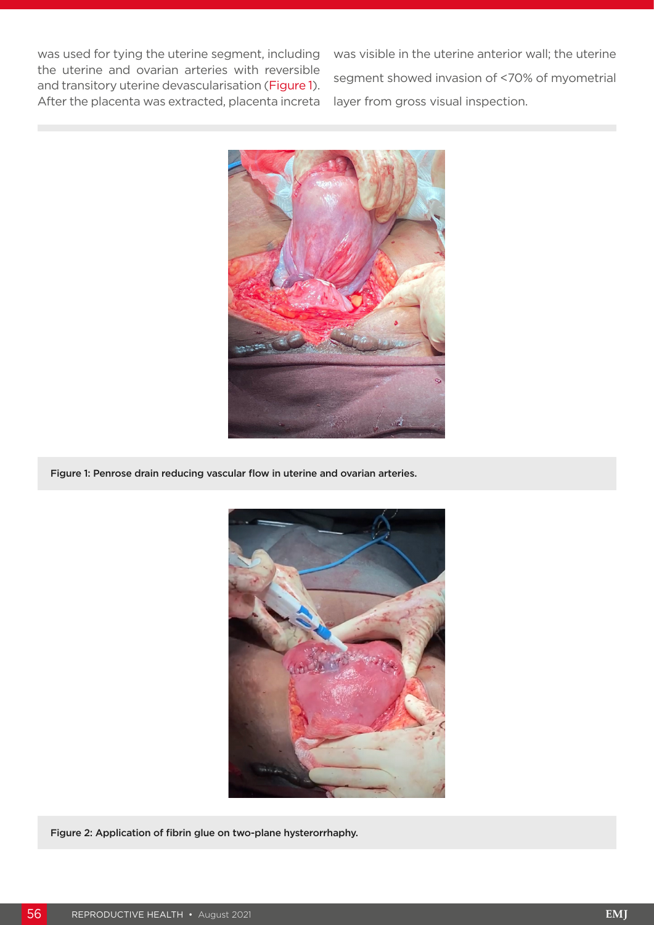was used for tying the uterine segment, including the uterine and ovarian arteries with reversible and transitory uterine devascularisation (Figure 1). After the placenta was extracted, placenta increta

was visible in the uterine anterior wall; the uterine segment showed invasion of <70% of myometrial layer from gross visual inspection.



Figure 1: Penrose drain reducing vascular flow in uterine and ovarian arteries.



Figure 2: Application of fibrin glue on two-plane hysterorrhaphy.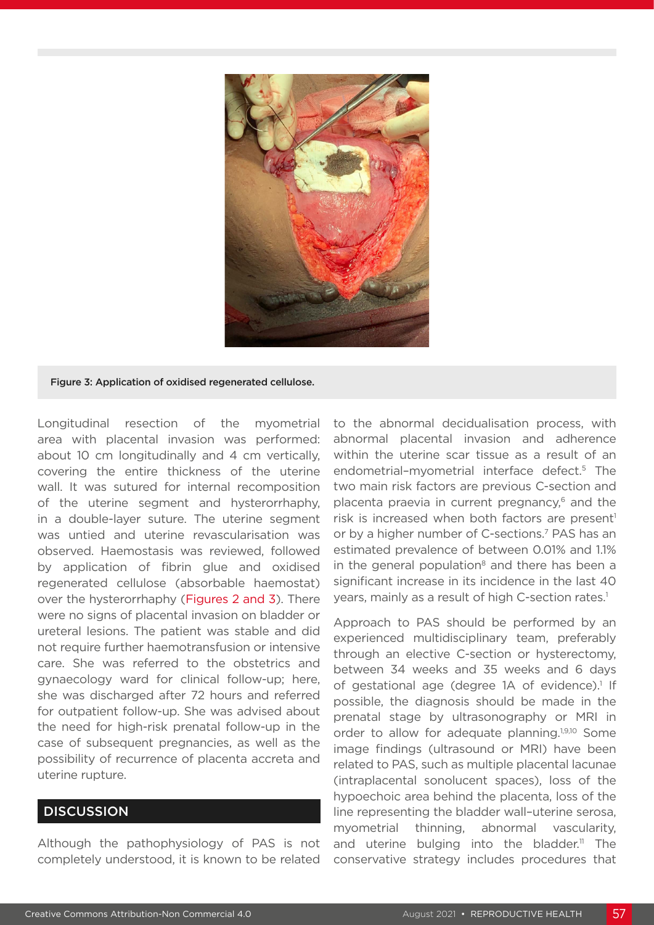

#### Figure 3: Application of oxidised regenerated cellulose.

Longitudinal resection of the myometrial area with placental invasion was performed: about 10 cm longitudinally and 4 cm vertically, covering the entire thickness of the uterine wall. It was sutured for internal recomposition of the uterine segment and hysterorrhaphy, in a double-layer suture. The uterine segment was untied and uterine revascularisation was observed. Haemostasis was reviewed, followed by application of fibrin glue and oxidised regenerated cellulose (absorbable haemostat) over the hysterorrhaphy (Figures 2 and 3). There were no signs of placental invasion on bladder or ureteral lesions. The patient was stable and did not require further haemotransfusion or intensive care. She was referred to the obstetrics and gynaecology ward for clinical follow-up; here, she was discharged after 72 hours and referred for outpatient follow-up. She was advised about the need for high-risk prenatal follow-up in the case of subsequent pregnancies, as well as the possibility of recurrence of placenta accreta and uterine rupture.

# **DISCUSSION**

Although the pathophysiology of PAS is not completely understood, it is known to be related

to the abnormal decidualisation process, with abnormal placental invasion and adherence within the uterine scar tissue as a result of an endometrial-myometrial interface defect.<sup>5</sup> The two main risk factors are previous C-section and placenta praevia in current pregnancy,<sup>6</sup> and the risk is increased when both factors are present<sup>1</sup> or by a higher number of C-sections.<sup>7</sup> PAS has an estimated prevalence of between 0.01% and 1.1% in the general population $8$  and there has been a significant increase in its incidence in the last 40 years, mainly as a result of high C-section rates.<sup>1</sup>

Approach to PAS should be performed by an experienced multidisciplinary team, preferably through an elective C-section or hysterectomy, between 34 weeks and 35 weeks and 6 days of gestational age (degree 1A of evidence).<sup>1</sup> If possible, the diagnosis should be made in the prenatal stage by ultrasonography or MRI in order to allow for adequate planning.<sup>1,9,10</sup> Some image findings (ultrasound or MRI) have been related to PAS, such as multiple placental lacunae (intraplacental sonolucent spaces), loss of the hypoechoic area behind the placenta, loss of the line representing the bladder wall–uterine serosa, myometrial thinning, abnormal vascularity, and uterine bulging into the bladder.<sup>11</sup> The conservative strategy includes procedures that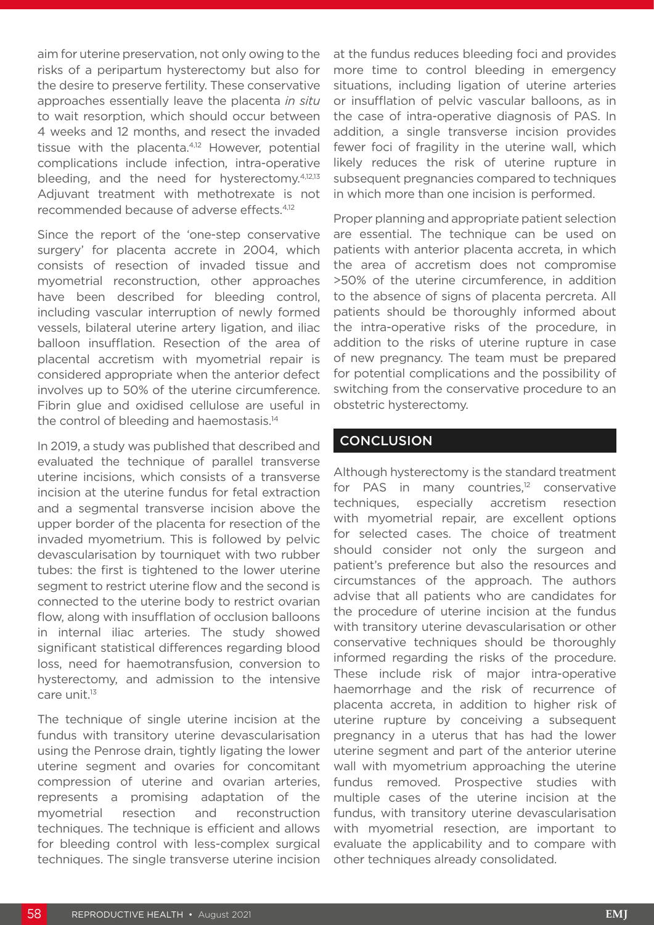aim for uterine preservation, not only owing to the risks of a peripartum hysterectomy but also for the desire to preserve fertility. These conservative approaches essentially leave the placenta *in situ*  to wait resorption, which should occur between 4 weeks and 12 months, and resect the invaded tissue with the placenta.<sup>4,12</sup> However, potential complications include infection, intra-operative bleeding, and the need for hysterectomy.4,12,13 Adjuvant treatment with methotrexate is not recommended because of adverse effects.4,12

Since the report of the 'one-step conservative surgery' for placenta accrete in 2004, which consists of resection of invaded tissue and myometrial reconstruction, other approaches have been described for bleeding control, including vascular interruption of newly formed vessels, bilateral uterine artery ligation, and iliac balloon insufflation. Resection of the area of placental accretism with myometrial repair is considered appropriate when the anterior defect involves up to 50% of the uterine circumference. Fibrin glue and oxidised cellulose are useful in the control of bleeding and haemostasis.<sup>14</sup>

In 2019, a study was published that described and evaluated the technique of parallel transverse uterine incisions, which consists of a transverse incision at the uterine fundus for fetal extraction and a segmental transverse incision above the upper border of the placenta for resection of the invaded myometrium. This is followed by pelvic devascularisation by tourniquet with two rubber tubes: the first is tightened to the lower uterine segment to restrict uterine flow and the second is connected to the uterine body to restrict ovarian flow, along with insufflation of occlusion balloons in internal iliac arteries. The study showed significant statistical differences regarding blood loss, need for haemotransfusion, conversion to hysterectomy, and admission to the intensive care unit.<sup>13</sup>

The technique of single uterine incision at the fundus with transitory uterine devascularisation using the Penrose drain, tightly ligating the lower uterine segment and ovaries for concomitant compression of uterine and ovarian arteries, represents a promising adaptation of the myometrial resection and reconstruction techniques. The technique is efficient and allows for bleeding control with less-complex surgical techniques. The single transverse uterine incision

at the fundus reduces bleeding foci and provides more time to control bleeding in emergency situations, including ligation of uterine arteries or insufflation of pelvic vascular balloons, as in the case of intra-operative diagnosis of PAS. In addition, a single transverse incision provides fewer foci of fragility in the uterine wall, which likely reduces the risk of uterine rupture in subsequent pregnancies compared to techniques in which more than one incision is performed.

Proper planning and appropriate patient selection are essential. The technique can be used on patients with anterior placenta accreta, in which the area of accretism does not compromise >50% of the uterine circumference, in addition to the absence of signs of placenta percreta. All patients should be thoroughly informed about the intra-operative risks of the procedure, in addition to the risks of uterine rupture in case of new pregnancy. The team must be prepared for potential complications and the possibility of switching from the conservative procedure to an obstetric hysterectomy.

### **CONCLUSION**

Although hysterectomy is the standard treatment for PAS in many countries, $12$  conservative techniques, especially accretism resection with myometrial repair, are excellent options for selected cases. The choice of treatment should consider not only the surgeon and patient's preference but also the resources and circumstances of the approach. The authors advise that all patients who are candidates for the procedure of uterine incision at the fundus with transitory uterine devascularisation or other conservative techniques should be thoroughly informed regarding the risks of the procedure. These include risk of major intra-operative haemorrhage and the risk of recurrence of placenta accreta, in addition to higher risk of uterine rupture by conceiving a subsequent pregnancy in a uterus that has had the lower uterine segment and part of the anterior uterine wall with myometrium approaching the uterine fundus removed. Prospective studies with multiple cases of the uterine incision at the fundus, with transitory uterine devascularisation with myometrial resection, are important to evaluate the applicability and to compare with other techniques already consolidated.